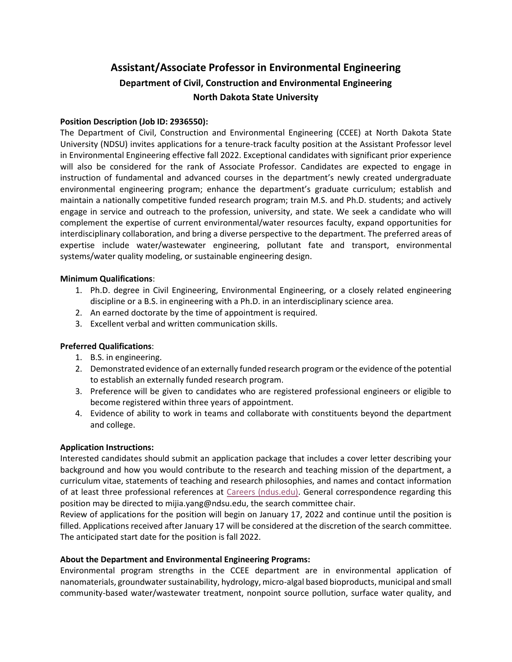# **Assistant/Associate Professor in Environmental Engineering Department of Civil, Construction and Environmental Engineering North Dakota State University**

### **Position Description (Job ID: 2936550):**

The Department of Civil, Construction and Environmental Engineering (CCEE) at North Dakota State University (NDSU) invites applications for a tenure-track faculty position at the Assistant Professor level in Environmental Engineering effective fall 2022. Exceptional candidates with significant prior experience will also be considered for the rank of Associate Professor. Candidates are expected to engage in instruction of fundamental and advanced courses in the department's newly created undergraduate environmental engineering program; enhance the department's graduate curriculum; establish and maintain a nationally competitive funded research program; train M.S. and Ph.D. students; and actively engage in service and outreach to the profession, university, and state. We seek a candidate who will complement the expertise of current environmental/water resources faculty, expand opportunities for interdisciplinary collaboration, and bring a diverse perspective to the department. The preferred areas of expertise include water/wastewater engineering, pollutant fate and transport, environmental systems/water quality modeling, or sustainable engineering design.

### **Minimum Qualifications**:

- 1. Ph.D. degree in Civil Engineering, Environmental Engineering, or a closely related engineering discipline or a B.S. in engineering with a Ph.D. in an interdisciplinary science area.
- 2. An earned doctorate by the time of appointment is required.
- 3. Excellent verbal and written communication skills.

### **Preferred Qualifications**:

- 1. B.S. in engineering.
- 2. Demonstrated evidence of an externally funded research program or the evidence of the potential to establish an externally funded research program.
- 3. Preference will be given to candidates who are registered professional engineers or eligible to become registered within three years of appointment.
- 4. Evidence of ability to work in teams and collaborate with constituents beyond the department and college.

### **Application Instructions:**

Interested candidates should submit an application package that includes a cover letter describing your background and how you would contribute to the research and teaching mission of the department, a curriculum vitae, statements of teaching and research philosophies, and names and contact information of at least three professional references at [Careers \(ndus.edu\).](https://prd.hcm.ndus.edu/psc/recruit/EMPLOYEE/HRMS/c/HRS_HRAM_FL.HRS_CG_SEARCH_FL.GBL?Page=HRS_APP_JBPST_FL&Action=U&FOCUS=Applicant&SiteId=1&JobOpeningId=2936550&PostingSeq=1) General correspondence regarding this position may be directed to mijia.yang@ndsu.edu, the search committee chair.

Review of applications for the position will begin on January 17, 2022 and continue until the position is filled. Applications received after January 17 will be considered at the discretion of the search committee. The anticipated start date for the position is fall 2022.

### **About the Department and Environmental Engineering Programs:**

Environmental program strengths in the CCEE department are in environmental application of nanomaterials, groundwater sustainability, hydrology, micro-algal based bioproducts, municipal and small community-based water/wastewater treatment, nonpoint source pollution, surface water quality, and